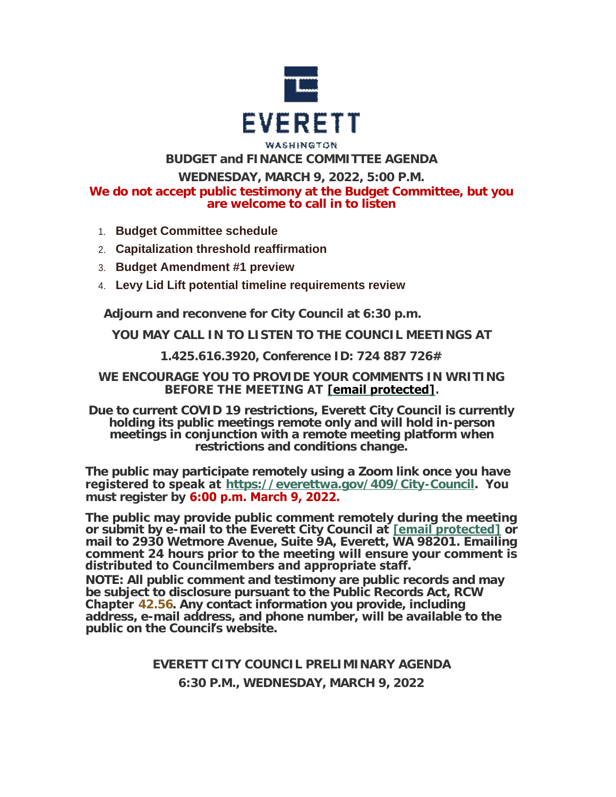

# WASHINGTON **BUDGET and FINANCE COMMITTEE AGENDA**

**WEDNESDAY, MARCH 9, 2022, 5:00 P.M.**

**We do not accept public testimony at the Budget Committee, but you are welcome to call in to listen**

- 1. **Budget Committee schedule**
- 2. **Capitalization threshold reaffirmation**
- 3. **Budget Amendment #1 preview**
- 4. **Levy Lid Lift potential timeline requirements review**

**Adjourn and reconvene for City Council at 6:30 p.m.**

**YOU MAY CALL IN TO LISTEN TO THE COUNCIL MEETINGS AT**

**1.425.616.3920, Conference ID: 724 887 726#**

## **WE ENCOURAGE YOU TO PROVIDE YOUR COMMENTS IN WRITING BEFORE THE MEETING AT [\[email protected\]](https://www.everettwa.gov/cdn-cgi/l/email-protection#72313d273c313b3e323724372037262625335c353d24).**

**Due to current COVID 19 restrictions, Everett City Council is currently holding its public meetings remote only and will hold in-person meetings in conjunction with a remote meeting platform when restrictions and conditions change.**

**The public may participate remotely using a Zoom link once you have registered to speak at <https://everettwa.gov/409/City-Council>. You must register by 6:00 p.m. March 9, 2022.** 

**The public may provide public comment remotely during the meeting or submit by e-mail to the Everett City Council at [\[email protected\]](https://www.everettwa.gov/cdn-cgi/l/email-protection) or mail to 2930 Wetmore Avenue, Suite 9A, Everett, WA 98201. Emailing comment 24 hours prior to the meeting will ensure your comment is distributed to Councilmembers and appropriate staff.** 

*NOTE: All public comment and testimony are public records and may be subject to disclosure pursuant to the Public Records Act, RCW*  **Chapter** *[42.56](https://apps.leg.wa.gov/rcw/default.aspx?cite=42.56). Any contact information you provide, including address, e-mail address, and phone number, will be available to the public on the Council***'***s website.*

> **EVERETT CITY COUNCIL PRELIMINARY AGENDA 6:30 P.M., WEDNESDAY, MARCH 9, 2022**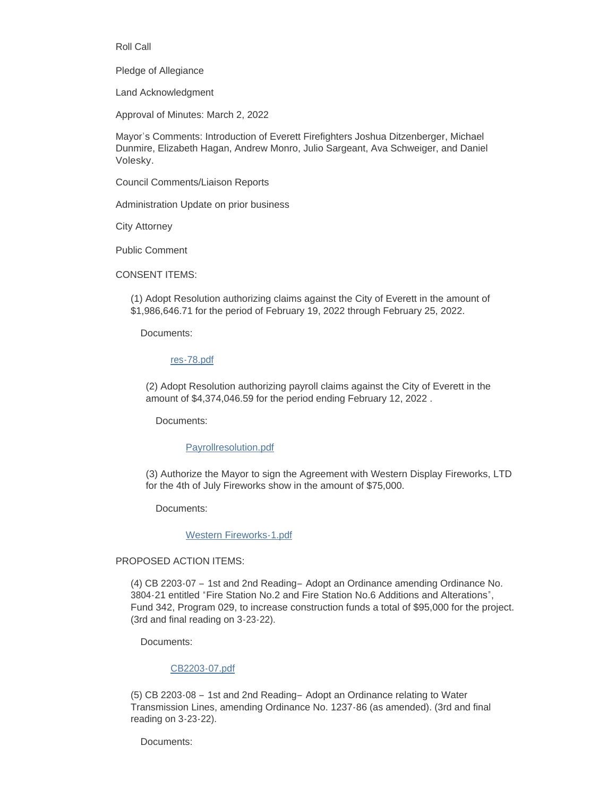Roll Call

Pledge of Allegiance

Land Acknowledgment

Approval of Minutes: March 2, 2022

Mayor's Comments: Introduction of Everett Firefighters Joshua Ditzenberger, Michael Dunmire, Elizabeth Hagan, Andrew Monro, Julio Sargeant, Ava Schweiger, and Daniel Volesky.

Council Comments/Liaison Reports

Administration Update on prior business

City Attorney

Public Comment

CONSENT ITEMS:

(1) Adopt Resolution authorizing claims against the City of Everett in the amount of \$1,986,646.71 for the period of February 19, 2022 through February 25, 2022.

Documents:

#### [res-78.pdf](https://www.everettwa.gov/AgendaCenter/ViewFile/Item/13493?fileID=80009)

(2) Adopt Resolution authorizing payroll claims against the City of Everett in the amount of \$4,374,046.59 for the period ending February 12, 2022 .

Documents:

## [Payrollresolution.pdf](https://www.everettwa.gov/AgendaCenter/ViewFile/Item/13495?fileID=80055)

(3) Authorize the Mayor to sign the Agreement with Western Display Fireworks, LTD for the 4th of July Fireworks show in the amount of \$75,000.

Documents:

[Western Fireworks-1.pdf](https://www.everettwa.gov/AgendaCenter/ViewFile/Item/13467?fileID=80001)

## PROPOSED ACTION ITEMS:

(4) CB 2203-07 – 1st and 2nd Reading– Adopt an Ordinance amending Ordinance No. 3804-21 entitled "Fire Station No.2 and Fire Station No.6 Additions and Alterations", Fund 342, Program 029, to increase construction funds a total of \$95,000 for the project. (3rd and final reading on 3-23-22).

Documents:

#### [CB2203-07.pdf](https://www.everettwa.gov/AgendaCenter/ViewFile/Item/13468?fileID=80002)

(5) CB 2203-08 – 1st and 2nd Reading– Adopt an Ordinance relating to Water Transmission Lines, amending Ordinance No. 1237-86 (as amended). (3rd and final reading on 3-23-22).

Documents: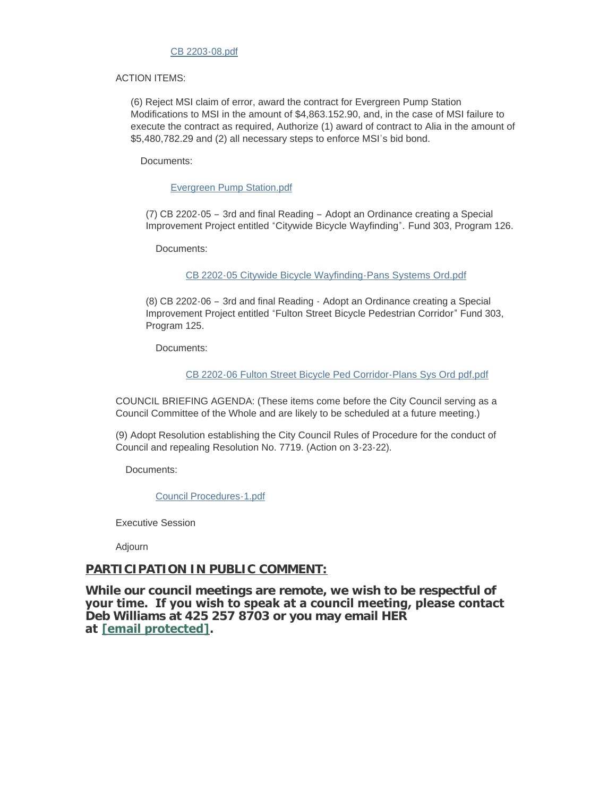## [CB 2203-08.pdf](https://www.everettwa.gov/AgendaCenter/ViewFile/Item/13469?fileID=80003)

#### ACTION ITEMS:

(6) Reject MSI claim of error, award the contract for Evergreen Pump Station Modifications to MSI in the amount of \$4,863.152.90, and, in the case of MSI failure to execute the contract as required, Authorize (1) award of contract to Alia in the amount of \$5,480,782.29 and (2) all necessary steps to enforce MSI's bid bond.

Documents:

[Evergreen Pump Station.pdf](https://www.everettwa.gov/AgendaCenter/ViewFile/Item/13470?fileID=80004)

(7) CB 2202-05 – 3rd and final Reading – Adopt an Ordinance creating a Special Improvement Project entitled "Citywide Bicycle Wayfinding". Fund 303, Program 126.

Documents:

[CB 2202-05 Citywide Bicycle Wayfinding-Pans Systems Ord.pdf](https://www.everettwa.gov/AgendaCenter/ViewFile/Item/13471?fileID=80005)

(8) CB 2202-06 – 3rd and final Reading - Adopt an Ordinance creating a Special Improvement Project entitled "Fulton Street Bicycle Pedestrian Corridor" Fund 303, Program 125.

Documents:

[CB 2202-06 Fulton Street Bicycle Ped Corridor-Plans Sys Ord pdf.pdf](https://www.everettwa.gov/AgendaCenter/ViewFile/Item/13473?fileID=80007)

COUNCIL BRIEFING AGENDA: (These items come before the City Council serving as a Council Committee of the Whole and are likely to be scheduled at a future meeting.)

(9) Adopt Resolution establishing the City Council Rules of Procedure for the conduct of Council and repealing Resolution No. 7719. (Action on 3-23-22).

Documents:

[Council Procedures-1.pdf](https://www.everettwa.gov/AgendaCenter/ViewFile/Item/13472?fileID=80056)

Executive Session

Adjourn

## **PARTICIPATION IN PUBLIC COMMENT:**

**While our council meetings are remote, we wish to be respectful of your time. If you wish to speak at a council meeting, please contact Deb Williams at 425 257 8703 or you may email HER at [\[email protected\].](https://www.everettwa.gov/cdn-cgi/l/email-protection#8beffce2e7e7e2eae6f8cbeefdeef9eefffffceaa5ece4fd)**